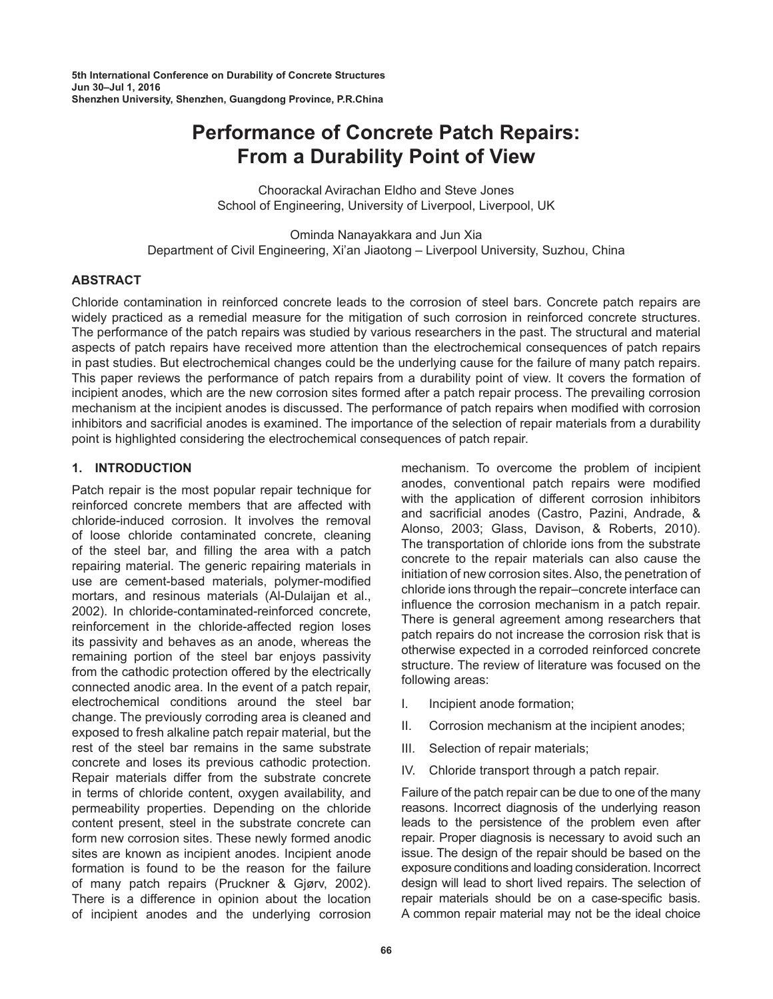**5th International Conference on Durability of Concrete Structures Jun 30–Jul 1, 2016 Shenzhen University, Shenzhen, Guangdong Province, P.R.China**

# **Performance of Concrete Patch Repairs: From a Durability Point of View**

Choorackal Avirachan Eldho and Steve Jones School of Engineering, University of Liverpool, Liverpool, UK

Ominda Nanayakkara and Jun Xia Department of Civil Engineering, Xi'an Jiaotong – Liverpool University, Suzhou, China

## **ABSTRACT**

Chloride contamination in reinforced concrete leads to the corrosion of steel bars. Concrete patch repairs are widely practiced as a remedial measure for the mitigation of such corrosion in reinforced concrete structures. The performance of the patch repairs was studied by various researchers in the past. The structural and material aspects of patch repairs have received more attention than the electrochemical consequences of patch repairs in past studies. But electrochemical changes could be the underlying cause for the failure of many patch repairs. This paper reviews the performance of patch repairs from a durability point of view. It covers the formation of incipient anodes, which are the new corrosion sites formed after a patch repair process. The prevailing corrosion mechanism at the incipient anodes is discussed. The performance of patch repairs when modified with corrosion inhibitors and sacrificial anodes is examined. The importance of the selection of repair materials from a durability point is highlighted considering the electrochemical consequences of patch repair.

## **1. INTRODUCTION**

Patch repair is the most popular repair technique for reinforced concrete members that are affected with chloride-induced corrosion. It involves the removal of loose chloride contaminated concrete, cleaning of the steel bar, and filling the area with a patch repairing material. The generic repairing materials in use are cement-based materials, polymer-modified mortars, and resinous materials (Al-Dulaijan et al., 2002). In chloride-contaminated-reinforced concrete, reinforcement in the chloride-affected region loses its passivity and behaves as an anode, whereas the remaining portion of the steel bar enjoys passivity from the cathodic protection offered by the electrically connected anodic area. In the event of a patch repair, electrochemical conditions around the steel bar change. The previously corroding area is cleaned and exposed to fresh alkaline patch repair material, but the rest of the steel bar remains in the same substrate concrete and loses its previous cathodic protection. Repair materials differ from the substrate concrete in terms of chloride content, oxygen availability, and permeability properties. Depending on the chloride content present, steel in the substrate concrete can form new corrosion sites. These newly formed anodic sites are known as incipient anodes. Incipient anode formation is found to be the reason for the failure of many patch repairs (Pruckner & Gjørv, 2002). There is a difference in opinion about the location of incipient anodes and the underlying corrosion

mechanism. To overcome the problem of incipient anodes, conventional patch repairs were modified with the application of different corrosion inhibitors and sacrificial anodes (Castro, Pazini, Andrade, & Alonso, 2003; Glass, Davison, & Roberts, 2010). The transportation of chloride ions from the substrate concrete to the repair materials can also cause the initiation of new corrosion sites. Also, the penetration of chloride ions through the repair–concrete interface can influence the corrosion mechanism in a patch repair. There is general agreement among researchers that patch repairs do not increase the corrosion risk that is otherwise expected in a corroded reinforced concrete structure. The review of literature was focused on the following areas:

- I. Incipient anode formation;
- II. Corrosion mechanism at the incipient anodes;
- III. Selection of repair materials;
- IV. Chloride transport through a patch repair.

Failure of the patch repair can be due to one of the many reasons. Incorrect diagnosis of the underlying reason leads to the persistence of the problem even after repair. Proper diagnosis is necessary to avoid such an issue. The design of the repair should be based on the exposure conditions and loading consideration. Incorrect design will lead to short lived repairs. The selection of repair materials should be on a case-specific basis. A common repair material may not be the ideal choice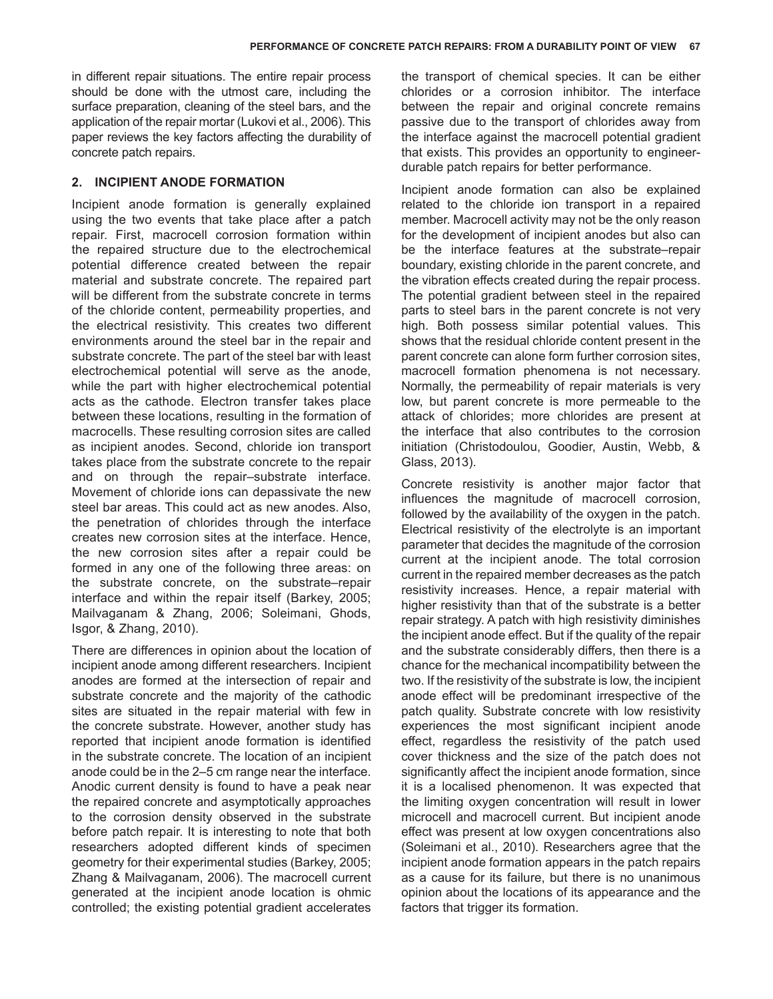in different repair situations. The entire repair process should be done with the utmost care, including the surface preparation, cleaning of the steel bars, and the application of the repair mortar (Lukovi et al., 2006). This paper reviews the key factors affecting the durability of concrete patch repairs.

## **2. INCIPIENT ANODE FORMATION**

Incipient anode formation is generally explained using the two events that take place after a patch repair. First, macrocell corrosion formation within the repaired structure due to the electrochemical potential difference created between the repair material and substrate concrete. The repaired part will be different from the substrate concrete in terms of the chloride content, permeability properties, and the electrical resistivity. This creates two different environments around the steel bar in the repair and substrate concrete. The part of the steel bar with least electrochemical potential will serve as the anode, while the part with higher electrochemical potential acts as the cathode. Electron transfer takes place between these locations, resulting in the formation of macrocells. These resulting corrosion sites are called as incipient anodes. Second, chloride ion transport takes place from the substrate concrete to the repair and on through the repair–substrate interface. Movement of chloride ions can depassivate the new steel bar areas. This could act as new anodes. Also, the penetration of chlorides through the interface creates new corrosion sites at the interface. Hence, the new corrosion sites after a repair could be formed in any one of the following three areas: on the substrate concrete, on the substrate–repair interface and within the repair itself (Barkey, 2005; Mailvaganam & Zhang, 2006; Soleimani, Ghods, Isgor, & Zhang, 2010).

There are differences in opinion about the location of incipient anode among different researchers. Incipient anodes are formed at the intersection of repair and substrate concrete and the majority of the cathodic sites are situated in the repair material with few in the concrete substrate. However, another study has reported that incipient anode formation is identified in the substrate concrete. The location of an incipient anode could be in the 2–5 cm range near the interface. Anodic current density is found to have a peak near the repaired concrete and asymptotically approaches to the corrosion density observed in the substrate before patch repair. It is interesting to note that both researchers adopted different kinds of specimen geometry for their experimental studies (Barkey, 2005; Zhang & Mailvaganam, 2006). The macrocell current generated at the incipient anode location is ohmic controlled; the existing potential gradient accelerates

the transport of chemical species. It can be either chlorides or a corrosion inhibitor. The interface between the repair and original concrete remains passive due to the transport of chlorides away from the interface against the macrocell potential gradient that exists. This provides an opportunity to engineerdurable patch repairs for better performance.

Incipient anode formation can also be explained related to the chloride ion transport in a repaired member. Macrocell activity may not be the only reason for the development of incipient anodes but also can be the interface features at the substrate–repair boundary, existing chloride in the parent concrete, and the vibration effects created during the repair process. The potential gradient between steel in the repaired parts to steel bars in the parent concrete is not very high. Both possess similar potential values. This shows that the residual chloride content present in the parent concrete can alone form further corrosion sites, macrocell formation phenomena is not necessary. Normally, the permeability of repair materials is very low, but parent concrete is more permeable to the attack of chlorides; more chlorides are present at the interface that also contributes to the corrosion initiation (Christodoulou, Goodier, Austin, Webb, & Glass, 2013).

Concrete resistivity is another major factor that influences the magnitude of macrocell corrosion, followed by the availability of the oxygen in the patch. Electrical resistivity of the electrolyte is an important parameter that decides the magnitude of the corrosion current at the incipient anode. The total corrosion current in the repaired member decreases as the patch resistivity increases. Hence, a repair material with higher resistivity than that of the substrate is a better repair strategy. A patch with high resistivity diminishes the incipient anode effect. But if the quality of the repair and the substrate considerably differs, then there is a chance for the mechanical incompatibility between the two. If the resistivity of the substrate is low, the incipient anode effect will be predominant irrespective of the patch quality. Substrate concrete with low resistivity experiences the most significant incipient anode effect, regardless the resistivity of the patch used cover thickness and the size of the patch does not significantly affect the incipient anode formation, since it is a localised phenomenon. It was expected that the limiting oxygen concentration will result in lower microcell and macrocell current. But incipient anode effect was present at low oxygen concentrations also (Soleimani et al., 2010). Researchers agree that the incipient anode formation appears in the patch repairs as a cause for its failure, but there is no unanimous opinion about the locations of its appearance and the factors that trigger its formation.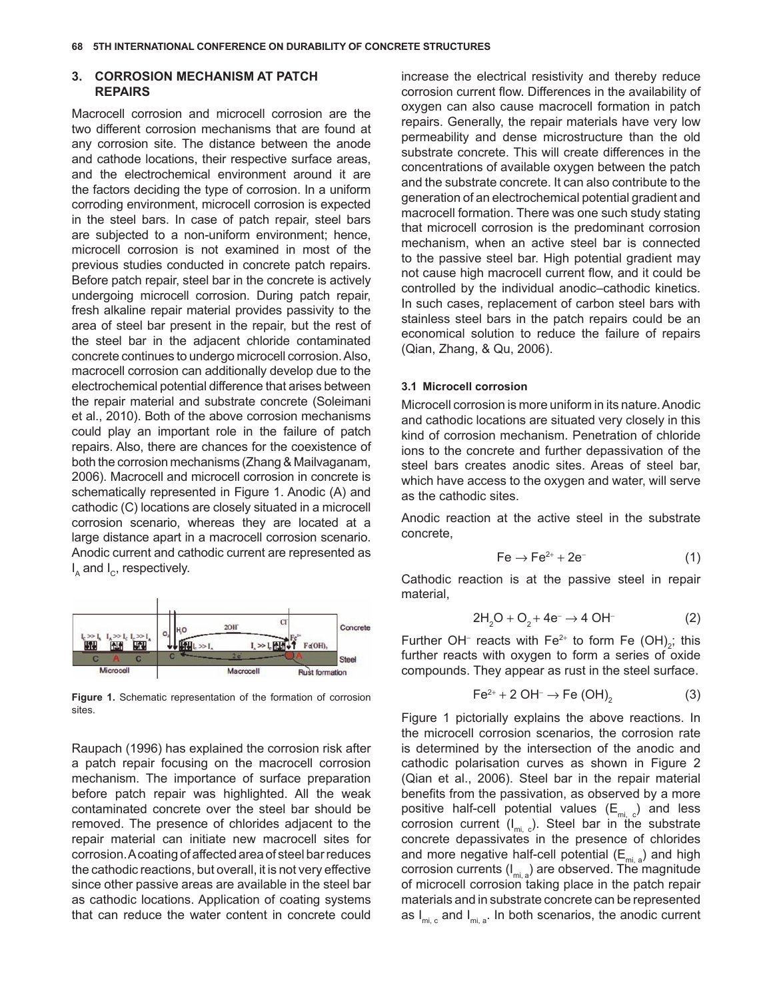#### **3. CORROSION MECHANISM AT PATCH REPAIRS**

Macrocell corrosion and microcell corrosion are the two different corrosion mechanisms that are found at any corrosion site. The distance between the anode and cathode locations, their respective surface areas, and the electrochemical environment around it are the factors deciding the type of corrosion. In a uniform corroding environment, microcell corrosion is expected in the steel bars. In case of patch repair, steel bars are subjected to a non-uniform environment; hence, microcell corrosion is not examined in most of the previous studies conducted in concrete patch repairs. Before patch repair, steel bar in the concrete is actively undergoing microcell corrosion. During patch repair, fresh alkaline repair material provides passivity to the area of steel bar present in the repair, but the rest of the steel bar in the adjacent chloride contaminated concrete continues to undergo microcell corrosion. Also, macrocell corrosion can additionally develop due to the electrochemical potential difference that arises between the repair material and substrate concrete (Soleimani et al., 2010). Both of the above corrosion mechanisms could play an important role in the failure of patch repairs. Also, there are chances for the coexistence of both the corrosion mechanisms (Zhang & Mailvaganam, 2006). Macrocell and microcell corrosion in concrete is schematically represented in Figure 1. Anodic (A) and cathodic (C) locations are closely situated in a microcell corrosion scenario, whereas they are located at a large distance apart in a macrocell corrosion scenario. Anodic current and cathodic current are represented as  $I_{\text{A}}$  and  $I_{\text{C}}$ , respectively.



**Figure 1.** Schematic representation of the formation of corrosion sites.

Raupach (1996) has explained the corrosion risk after a patch repair focusing on the macrocell corrosion mechanism. The importance of surface preparation before patch repair was highlighted. All the weak contaminated concrete over the steel bar should be removed. The presence of chlorides adjacent to the repair material can initiate new macrocell sites for corrosion. A coating of affected area of steel bar reduces the cathodic reactions, but overall, it is not very effective since other passive areas are available in the steel bar as cathodic locations. Application of coating systems that can reduce the water content in concrete could

increase the electrical resistivity and thereby reduce corrosion current flow. Differences in the availability of oxygen can also cause macrocell formation in patch repairs. Generally, the repair materials have very low permeability and dense microstructure than the old substrate concrete. This will create differences in the concentrations of available oxygen between the patch and the substrate concrete. It can also contribute to the generation of an electrochemical potential gradient and macrocell formation. There was one such study stating that microcell corrosion is the predominant corrosion mechanism, when an active steel bar is connected to the passive steel bar. High potential gradient may not cause high macrocell current flow, and it could be controlled by the individual anodic–cathodic kinetics. In such cases, replacement of carbon steel bars with stainless steel bars in the patch repairs could be an economical solution to reduce the failure of repairs (Qian, Zhang, & Qu, 2006).

#### **3.1 Microcell corrosion**

Microcell corrosion is more uniform in its nature. Anodic and cathodic locations are situated very closely in this kind of corrosion mechanism. Penetration of chloride ions to the concrete and further depassivation of the steel bars creates anodic sites. Areas of steel bar, which have access to the oxygen and water, will serve as the cathodic sites.

Anodic reaction at the active steel in the substrate concrete,

$$
Fe \rightarrow Fe^{2+} + 2e^-
$$
 (1)

Cathodic reaction is at the passive steel in repair material,

$$
2H_2O + O_2 + 4e^- \to 4 \text{ OH}^-
$$
 (2)

Further OH⊤ reacts with Fe<sup>2+</sup> to form Fe (OH)<sub>2</sub>; this further reacts with oxygen to form a series of oxide compounds. They appear as rust in the steel surface.

$$
Fe^{2+} + 2 \text{ OH}^{-} \rightarrow Fe \text{ (OH)}_{2} \tag{3}
$$

Figure 1 pictorially explains the above reactions. In the microcell corrosion scenarios, the corrosion rate is determined by the intersection of the anodic and cathodic polarisation curves as shown in [Figure](#page-3-0) 2 (Qian et al., 2006). Steel bar in the repair material benefits from the passivation, as observed by a more positive half-cell potential values  $(E_{\text{mi-c}})$  and less corrosion current  $(I_{mi, c})$ . Steel bar in the substrate concrete depassivates in the presence of chlorides and more negative half-cell potential  $(E_{mi,a})$  and high corrosion currents  $(I_{mi,a})$  are observed. The magnitude of microcell corrosion taking place in the patch repair materials and in substrate concrete can be represented as  $I_{mi,c}$  and  $I_{mi,a}$ . In both scenarios, the anodic current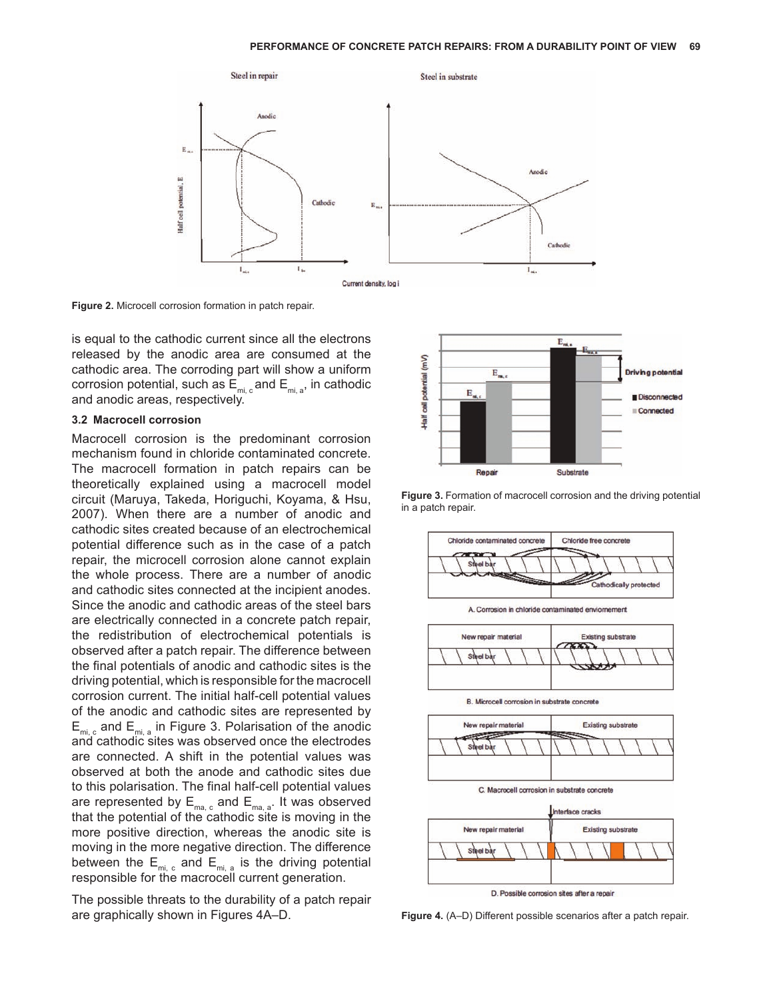<span id="page-3-0"></span>

**Figure 2.** Microcell corrosion formation in patch repair.

is equal to the cathodic current since all the electrons released by the anodic area are consumed at the cathodic area. The corroding part will show a uniform corrosion potential, such as  $E_{\text{mi.c}}$  and  $E_{\text{mi.a}}$ , in cathodic and anodic areas, respectively.

#### **3.2 Macrocell corrosion**

Macrocell corrosion is the predominant corrosion mechanism found in chloride contaminated concrete. The macrocell formation in patch repairs can be theoretically explained using a macrocell model circuit (Maruya, Takeda, Horiguchi, Koyama, & Hsu, 2007). When there are a number of anodic and cathodic sites created because of an electrochemical potential difference such as in the case of a patch repair, the microcell corrosion alone cannot explain the whole process. There are a number of anodic and cathodic sites connected at the incipient anodes. Since the anodic and cathodic areas of the steel bars are electrically connected in a concrete patch repair, the redistribution of electrochemical potentials is observed after a patch repair. The difference between the final potentials of anodic and cathodic sites is the driving potential, which is responsible for the macrocell corrosion current. The initial half-cell potential values of the anodic and cathodic sites are represented by  $E_{\text{mi}, c}$  and  $E_{\text{mi}, a}$  in Figure 3. Polarisation of the anodic and cathodic sites was observed once the electrodes are connected. A shift in the potential values was observed at both the anode and cathodic sites due to this polarisation. The final half-cell potential values are represented by  $E_{ma, c}$  and  $E_{ma, a}$ . It was observed that the potential of the cathodic site is moving in the more positive direction, whereas the anodic site is moving in the more negative direction. The difference between the  $E_{\text{mi},c}$  and  $E_{\text{mi},a}$  is the driving potential responsible for the macrocell current generation.

The possible threats to the durability of a patch repair are graphically shown in Figures 4A–D.



**Figure 3.** Formation of macrocell corrosion and the driving potential in a patch repair.



**Figure 4.** (A–D) Different possible scenarios after a patch repair.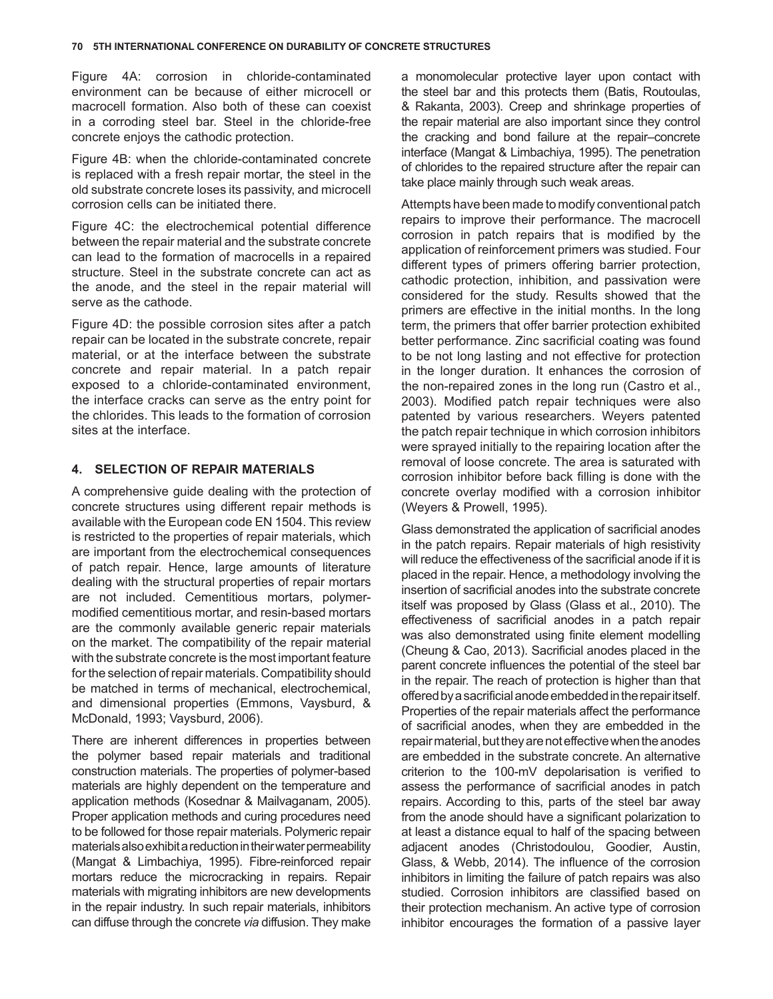[Figure 4A:](#page-3-0) corrosion in chloride-contaminated environment can be because of either microcell or macrocell formation. Also both of these can coexist in a corroding steel bar. Steel in the chloride-free concrete enjoys the cathodic protection.

[Figure 4B: w](#page-3-0)hen the chloride-contaminated concrete is replaced with a fresh repair mortar, the steel in the old substrate concrete loses its passivity, and microcell corrosion cells can be initiated there.

[Figure 4C:](#page-3-0) the electrochemical potential difference between the repair material and the substrate concrete can lead to the formation of macrocells in a repaired structure. Steel in the substrate concrete can act as the anode, and the steel in the repair material will serve as the cathode.

[Figure 4D:](#page-3-0) the possible corrosion sites after a patch repair can be located in the substrate concrete, repair material, or at the interface between the substrate concrete and repair material. In a patch repair exposed to a chloride-contaminated environment, the interface cracks can serve as the entry point for the chlorides. This leads to the formation of corrosion sites at the interface.

### **4. SELECTION OF REPAIR MATERIALS**

A comprehensive guide dealing with the protection of concrete structures using different repair methods is available with the European code EN 1504. This review is restricted to the properties of repair materials, which are important from the electrochemical consequences of patch repair. Hence, large amounts of literature dealing with the structural properties of repair mortars are not included. Cementitious mortars, polymermodified cementitious mortar, and resin-based mortars are the commonly available generic repair materials on the market. The compatibility of the repair material with the substrate concrete is the most important feature for the selection of repair materials. Compatibility should be matched in terms of mechanical, electrochemical, and dimensional properties (Emmons, Vaysburd, & McDonald, 1993; Vaysburd, 2006).

There are inherent differences in properties between the polymer based repair materials and traditional construction materials. The properties of polymer-based materials are highly dependent on the temperature and application methods (Kosednar & Mailvaganam, 2005). Proper application methods and curing procedures need to be followed for those repair materials. Polymeric repair materials also exhibit a reduction in their water permeability (Mangat & Limbachiya, 1995). Fibre-reinforced repair mortars reduce the microcracking in repairs. Repair materials with migrating inhibitors are new developments in the repair industry. In such repair materials, inhibitors can diffuse through the concrete *via* diffusion. They make

a monomolecular protective layer upon contact with the steel bar and this protects them (Batis, Routoulas, & Rakanta, 2003). Creep and shrinkage properties of the repair material are also important since they control the cracking and bond failure at the repair–concrete interface (Mangat & Limbachiya, 1995). The penetration of chlorides to the repaired structure after the repair can take place mainly through such weak areas.

Attempts have been made to modify conventional patch repairs to improve their performance. The macrocell corrosion in patch repairs that is modified by the application of reinforcement primers was studied. Four different types of primers offering barrier protection, cathodic protection, inhibition, and passivation were considered for the study. Results showed that the primers are effective in the initial months. In the long term, the primers that offer barrier protection exhibited better performance. Zinc sacrificial coating was found to be not long lasting and not effective for protection in the longer duration. It enhances the corrosion of the non-repaired zones in the long run (Castro et al., 2003). Modified patch repair techniques were also patented by various researchers. Weyers patented the patch repair technique in which corrosion inhibitors were sprayed initially to the repairing location after the removal of loose concrete. The area is saturated with corrosion inhibitor before back filling is done with the concrete overlay modified with a corrosion inhibitor (Weyers & Prowell, 1995).

Glass demonstrated the application of sacrificial anodes in the patch repairs. Repair materials of high resistivity will reduce the effectiveness of the sacrificial anode if it is placed in the repair. Hence, a methodology involving the insertion of sacrificial anodes into the substrate concrete itself was proposed by Glass (Glass et al., 2010). The effectiveness of sacrificial anodes in a patch repair was also demonstrated using finite element modelling (Cheung & Cao, 2013). Sacrificial anodes placed in the parent concrete influences the potential of the steel bar in the repair. The reach of protection is higher than that offered by a sacrificial anode embedded in the repair itself. Properties of the repair materials affect the performance of sacrificial anodes, when they are embedded in the repair material, but they are not effective when the anodes are embedded in the substrate concrete. An alternative criterion to the 100-mV depolarisation is verified to assess the performance of sacrificial anodes in patch repairs. According to this, parts of the steel bar away from the anode should have a significant polarization to at least a distance equal to half of the spacing between adjacent anodes (Christodoulou, Goodier, Austin, Glass, & Webb, 2014). The influence of the corrosion inhibitors in limiting the failure of patch repairs was also studied. Corrosion inhibitors are classified based on their protection mechanism. An active type of corrosion inhibitor encourages the formation of a passive layer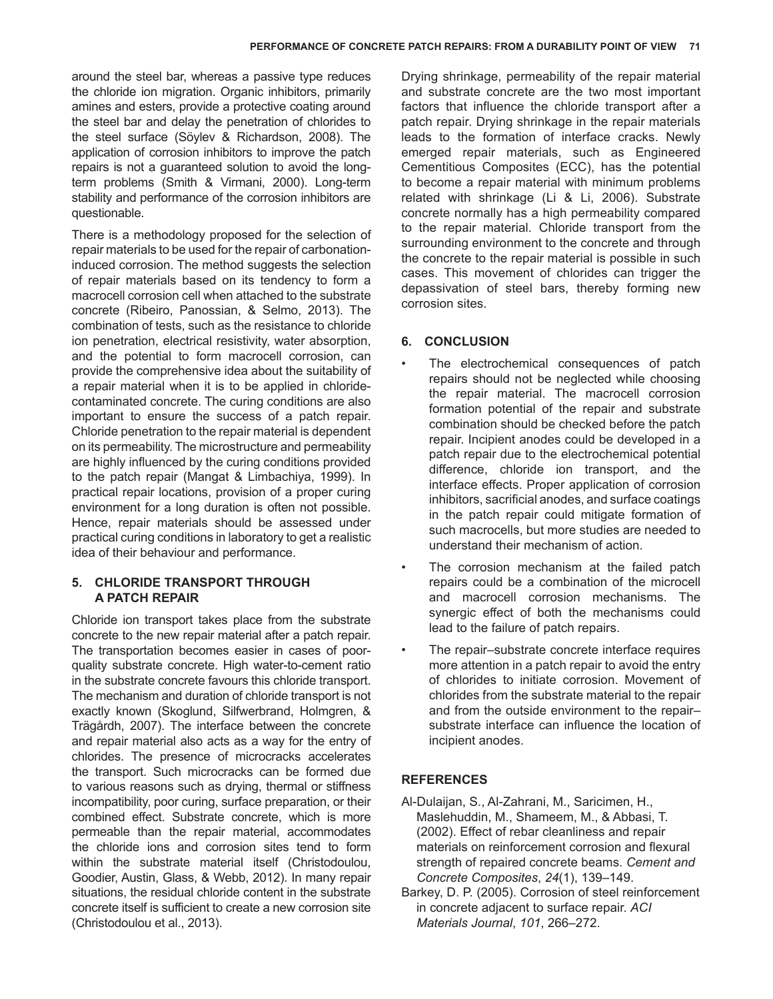around the steel bar, whereas a passive type reduces the chloride ion migration. Organic inhibitors, primarily amines and esters, provide a protective coating around the steel bar and delay the penetration of chlorides to the steel surface (Söylev & Richardson, 2008). The application of corrosion inhibitors to improve the patch repairs is not a guaranteed solution to avoid the longterm problems (Smith & Virmani, 2000). Long-term stability and performance of the corrosion inhibitors are questionable.

There is a methodology proposed for the selection of repair materials to be used for the repair of carbonationinduced corrosion. The method suggests the selection of repair materials based on its tendency to form a macrocell corrosion cell when attached to the substrate concrete (Ribeiro, Panossian, & Selmo, 2013). The combination of tests, such as the resistance to chloride ion penetration, electrical resistivity, water absorption, and the potential to form macrocell corrosion, can provide the comprehensive idea about the suitability of a repair material when it is to be applied in chloridecontaminated concrete. The curing conditions are also important to ensure the success of a patch repair. Chloride penetration to the repair material is dependent on its permeability. The microstructure and permeability are highly influenced by the curing conditions provided to the patch repair (Mangat & Limbachiya, 1999). In practical repair locations, provision of a proper curing environment for a long duration is often not possible. Hence, repair materials should be assessed under practical curing conditions in laboratory to get a realistic idea of their behaviour and performance.

## **5. CHLORIDE TRANSPORT THROUGH A PATCH REPAIR**

Chloride ion transport takes place from the substrate concrete to the new repair material after a patch repair. The transportation becomes easier in cases of poorquality substrate concrete. High water-to-cement ratio in the substrate concrete favours this chloride transport. The mechanism and duration of chloride transport is not exactly known (Skoglund, Silfwerbrand, Holmgren, & Trägårdh, 2007). The interface between the concrete and repair material also acts as a way for the entry of chlorides. The presence of microcracks accelerates the transport. Such microcracks can be formed due to various reasons such as drying, thermal or stiffness incompatibility, poor curing, surface preparation, or their combined effect. Substrate concrete, which is more permeable than the repair material, accommodates the chloride ions and corrosion sites tend to form within the substrate material itself (Christodoulou, Goodier, Austin, Glass, & Webb, 2012). In many repair situations, the residual chloride content in the substrate concrete itself is sufficient to create a new corrosion site (Christodoulou et al., 2013).

Drying shrinkage, permeability of the repair material and substrate concrete are the two most important factors that influence the chloride transport after a patch repair. Drying shrinkage in the repair materials leads to the formation of interface cracks. Newly emerged repair materials, such as Engineered Cementitious Composites (ECC), has the potential to become a repair material with minimum problems related with shrinkage (Li & Li, 2006). Substrate concrete normally has a high permeability compared to the repair material. Chloride transport from the surrounding environment to the concrete and through the concrete to the repair material is possible in such cases. This movement of chlorides can trigger the depassivation of steel bars, thereby forming new corrosion sites.

# **6. CONCLUSION**

- The electrochemical consequences of patch repairs should not be neglected while choosing the repair material. The macrocell corrosion formation potential of the repair and substrate combination should be checked before the patch repair. Incipient anodes could be developed in a patch repair due to the electrochemical potential difference, chloride ion transport, and the interface effects. Proper application of corrosion inhibitors, sacrificial anodes, and surface coatings in the patch repair could mitigate formation of such macrocells, but more studies are needed to understand their mechanism of action.
- The corrosion mechanism at the failed patch repairs could be a combination of the microcell and macrocell corrosion mechanisms. The synergic effect of both the mechanisms could lead to the failure of patch repairs.
- The repair–substrate concrete interface requires more attention in a patch repair to avoid the entry of chlorides to initiate corrosion. Movement of chlorides from the substrate material to the repair and from the outside environment to the repair– substrate interface can influence the location of incipient anodes.

## **REFERENCES**

- Al-Dulaijan, S., Al-Zahrani, M., Saricimen, H., Maslehuddin, M., Shameem, M., & Abbasi, T. (2002). Effect of rebar cleanliness and repair materials on reinforcement corrosion and flexural strength of repaired concrete beams. *Cement and Concrete Composites*, *24*(1), 139–149.
- Barkey, D. P. (2005). Corrosion of steel reinforcement in concrete adjacent to surface repair. *ACI Materials Journal*, *101*, 266–272.